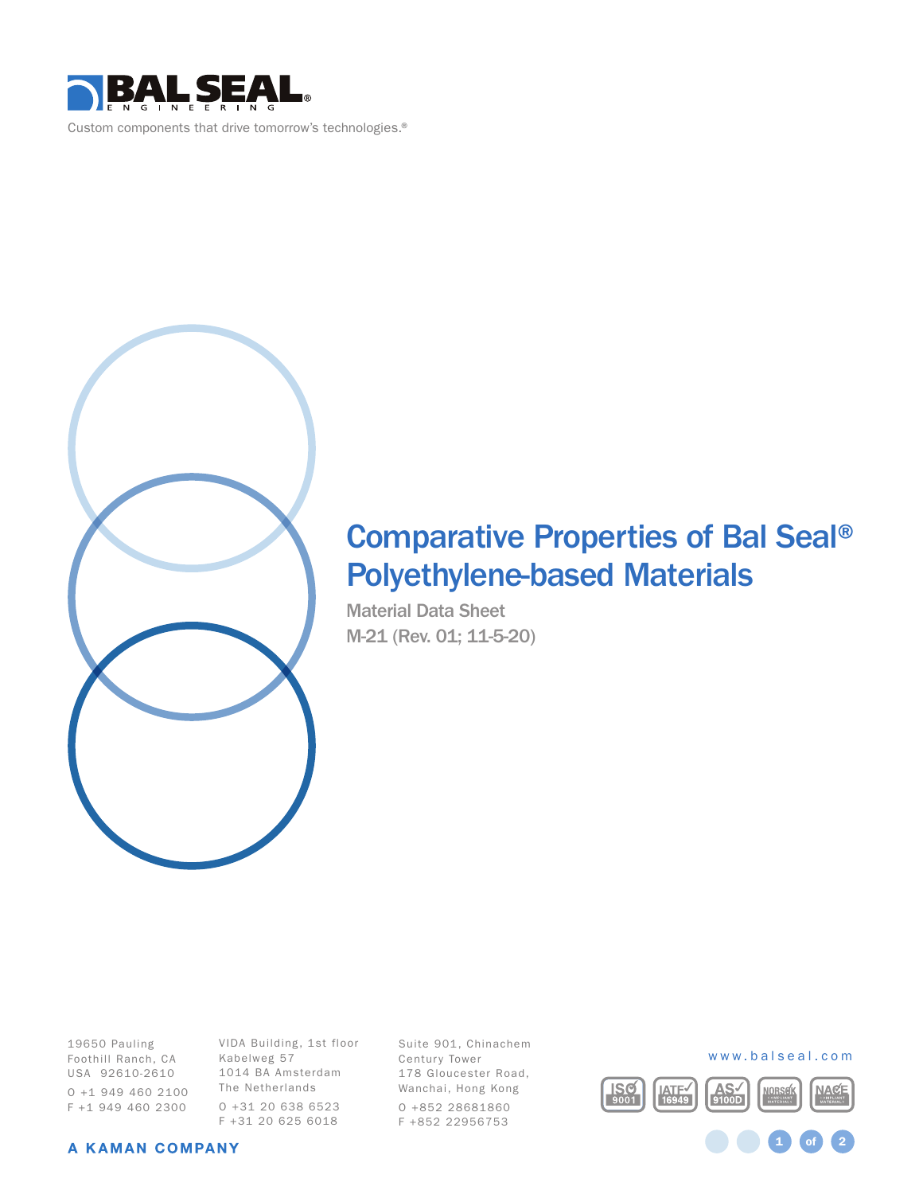



## Comparative Properties of Bal Seal® Polyethylene-based Materials

Material Data Sheet M-21 (Rev. 01; 11-5-20)

19650 Pauling Foothill Ranch, CA USA 92610-2610 O +1 949 460 2100 F +1 949 460 2300

VIDA Building, 1st floor Kabelweg 57 1014 BA Amsterdam The Netherlands O +31 20 638 6523 F +31 20 625 6018

Suite 901, Chinachem Century Tower 178 Gloucester Road, Wanchai, Hong Kong O +852 28681860 F +852 22956753



1 **of** 2